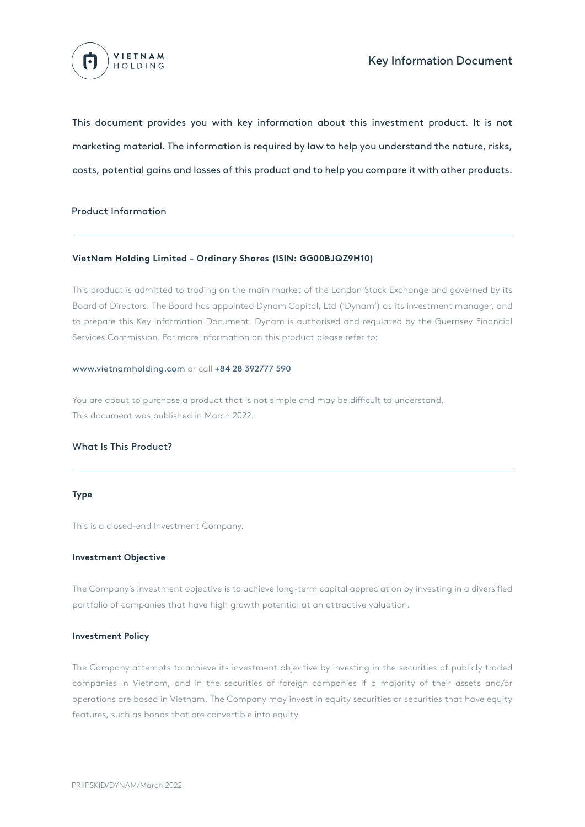

This document provides you with key information about this investment product. It is not marketing material. The information is required by law to help you understand the nature, risks, costs, potential gains and losses of this product and to help you compare it with other products.

## Product Information

## **VietNam Holding Limited - Ordinary Shares (ISIN: GG00BJQZ9H10)**

This product is admitted to trading on the main market of the London Stock Exchange and governed by its Board of Directors. The Board has appointed Dynam Capital, Ltd ('Dynam') as its investment manager, and to prepare this Key Information Document. Dynam is authorised and regulated by the Guernsey Financial Services Commission. For more information on this product please refer to:

#### www.vietnamholding.com or call +84 28 392777 590

You are about to purchase a product that is not simple and may be difficult to understand. This document was published in March 2022.

## What Is This Product?

#### **Type**

This is a closed-end Investment Company.

#### **Investment Objective**

The Company's investment objective is to achieve long-term capital appreciation by investing in a diversified portfolio of companies that have high growth potential at an attractive valuation.

#### **Investment Policy**

The Company attempts to achieve its investment objective by investing in the securities of publicly traded companies in Vietnam, and in the securities of foreign companies if a majority of their assets and/or operations are based in Vietnam. The Company may invest in equity securities or securities that have equity features, such as bonds that are convertible into equity.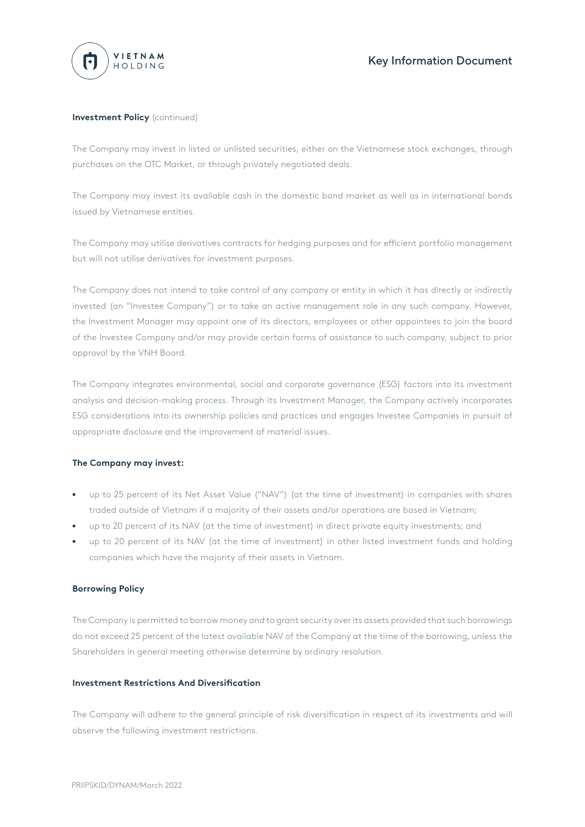

## **Investment Policy** (continued)

The Company may invest in listed or unlisted securities, either on the Vietnamese stock exchanges, through purchases on the OTC Market, or through privately negotiated deals.

The Company may invest its available cash in the domestic bond market as well as in international bonds issued by Vietnamese entities.

The Company may utilise derivatives contracts for hedging purposes and for efficient portfolio management but will not utilise derivatives for investment purposes.

The Company does not intend to take control of any company or entity in which it has directly or indirectly invested (an "Investee Company") or to take an active management role in any such company. However, the Investment Manager may appoint one of its directors, employees or other appointees to join the board of the Investee Company and/or may provide certain forms of assistance to such company, subject to prior approval by the VNH Board.

The Company integrates environmental, social and corporate governance (ESG) factors into its investment analysis and decision-making process. Through its Investment Manager, the Company actively incorporates ESG considerations into its ownership policies and practices and engages Investee Companies in pursuit of appropriate disclosure and the improvement of material issues.

## **The Company may invest:**

- up to 25 percent of its Net Asset Value ("NAV") (at the time of investment) in companies with shares traded outside of Vietnam if a majority of their assets and/or operations are based in Vietnam; •
- up to 20 percent of its NAV (at the time of investment) in direct private equity investments; and •
- up to 20 percent of its NAV (at the time of investment) in other listed investment funds and holding companies which have the majority of their assets in Vietnam. •

## **Borrowing Policy**

The Company is permitted to borrow money and to grant security over its assets provided that such borrowings do not exceed 25 percent of the latest available NAV of the Company at the time of the borrowing, unless the Shareholders in general meeting otherwise determine by ordinary resolution.

## **Investment Restrictions And Diversification**

The Company will adhere to the general principle of risk diversification in respect of its investments and will observe the following investment restrictions.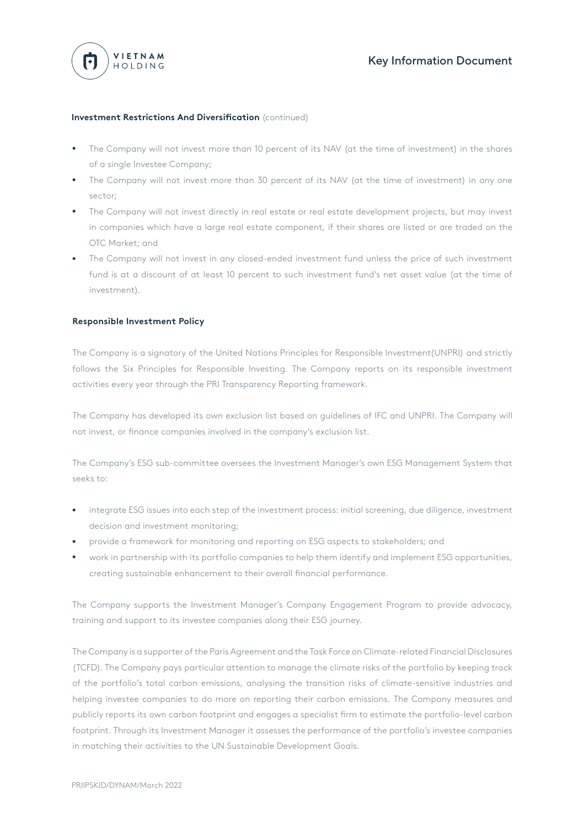

### **Investment Restrictions And Diversification** (continued)

- The Company will not invest more than 10 percent of its NAV (at the time of investment) in the shares of a single Investee Company; •
- The Company will not invest more than 30 percent of its NAV (at the time of investment) in any one sector;
- The Company will not invest directly in real estate or real estate development projects, but may invest in companies which have a large real estate component, if their shares are listed or are traded on the OTC Market; and •
- The Company will not invest in any closed-ended investment fund unless the price of such investment fund is at a discount of at least 10 percent to such investment fund's net asset value (at the time of investment). •

### **Responsible Investment Policy**

The Company is a signatory of the United Nations Principles for Responsible Investment(UNPRI) and strictly follows the Six Principles for Responsible Investing. The Company reports on its responsible investment activities every year through the PRI Transparency Reporting framework.

The Company has developed its own exclusion list based on guidelines of IFC and UNPRI. The Company will not invest, or finance companies involved in the company's exclusion list.

The Company's ESG sub-committee oversees the Investment Manager's own ESG Management System that seeks to:

- integrate ESG issues into each step of the investment process: initial screening, due diligence, investment decision and investment monitoring; •
- provide a framework for monitoring and reporting on ESG aspects to stakeholders; and •
- work in partnership with its portfolio companies to help them identify and implement ESG opportunities, creating sustainable enhancement to their overall financial performance. •

The Company supports the Investment Manager's Company Engagement Program to provide advocacy, training and support to its investee companies along their ESG journey.

The Company is a supporter of the Paris Agreement and the Task Force on Climate-related Financial Disclosures (TCFD). The Company pays particular attention to manage the climate risks of the portfolio by keeping track of the portfolio's total carbon emissions, analysing the transition risks of climate-sensitive industries and helping investee companies to do more on reporting their carbon emissions. The Company measures and publicly reports its own carbon footprint and engages a specialist firm to estimate the portfolio-level carbon footprint. Through its Investment Manager it assesses the performance of the portfolio's investee companies in matching their activities to the UN Sustainable Development Goals.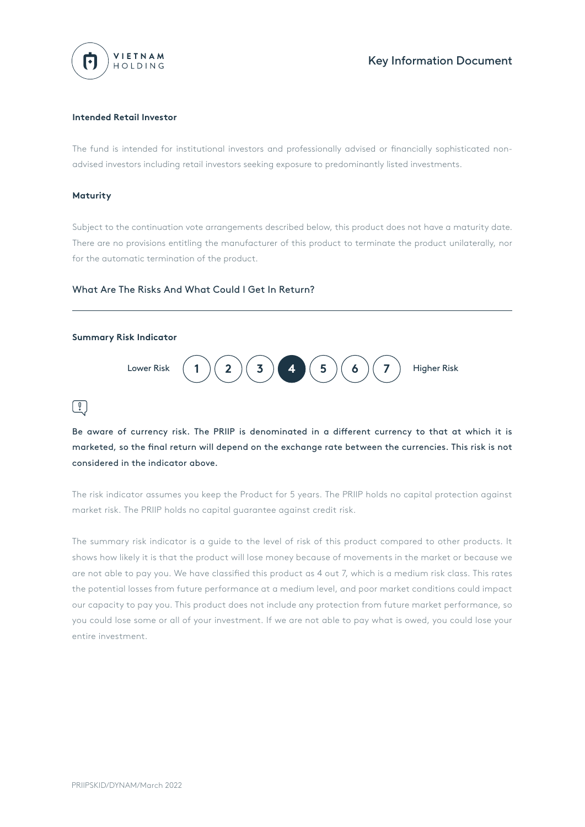

### **Intended Retail Investor**

The fund is intended for institutional investors and professionally advised or financially sophisticated nonadvised investors including retail investors seeking exposure to predominantly listed investments.

#### **Maturity**

Subject to the continuation vote arrangements described below, this product does not have a maturity date. There are no provisions entitling the manufacturer of this product to terminate the product unilaterally, nor for the automatic termination of the product.

### What Are The Risks And What Could I Get In Return?



Be aware of currency risk. The PRIIP is denominated in a different currency to that at which it is marketed, so the final return will depend on the exchange rate between the currencies. This risk is not considered in the indicator above.

The risk indicator assumes you keep the Product for 5 years. The PRIIP holds no capital protection against market risk. The PRIIP holds no capital guarantee against credit risk.

The summary risk indicator is a guide to the level of risk of this product compared to other products. It shows how likely it is that the product will lose money because of movements in the market or because we are not able to pay you. We have classified this product as 4 out 7, which is a medium risk class. This rates the potential losses from future performance at a medium level, and poor market conditions could impact our capacity to pay you. This product does not include any protection from future market performance, so you could lose some or all of your investment. If we are not able to pay what is owed, you could lose your entire investment.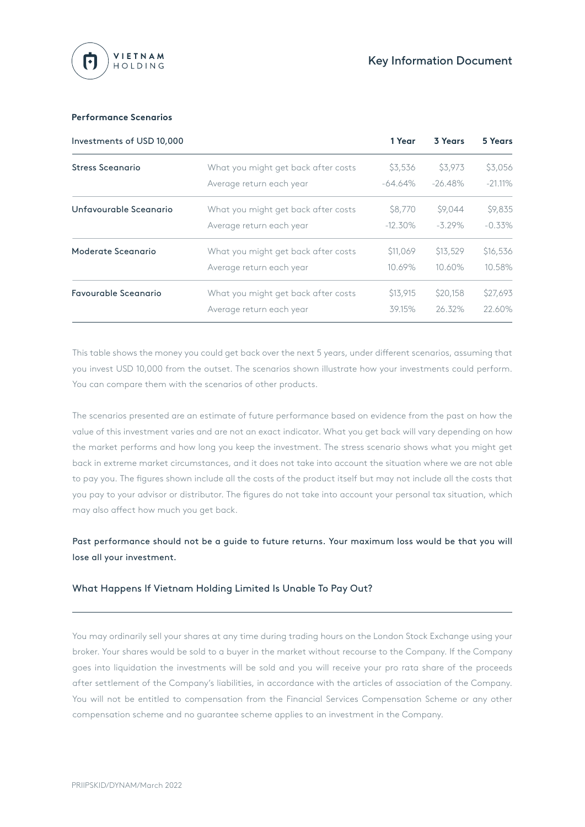

### **Performance Scenarios**

| Investments of USD 10,000 |                                     | 1 Year     | 3 Years    | 5 Years    |
|---------------------------|-------------------------------------|------------|------------|------------|
| Stress Sceanario          | What you might get back after costs | \$3,536    | \$3,973    | \$3,056    |
|                           | Average return each year            | $-64.64\%$ | $-26.48\%$ | $-21.11\%$ |
| Unfavourable Sceanario    | What you might get back after costs | \$8,770    | \$9,044    | \$9,835    |
|                           | Average return each year            | $-12.30\%$ | $-3.29\%$  | $-0.33\%$  |
| Moderate Sceanario        | What you might get back after costs | \$11,069   | \$13,529   | \$16,536   |
|                           | Average return each year            | 10.69%     | 10.60%     | 10.58%     |
| Favourable Sceanario      | What you might get back after costs | \$13,915   | \$20,158   | \$27,693   |
|                           | Average return each year            | 39.15%     | 26.32%     | 22.60%     |

This table shows the money you could get back over the next 5 years, under different scenarios, assuming that you invest USD 10,000 from the outset. The scenarios shown illustrate how your investments could perform. You can compare them with the scenarios of other products.

The scenarios presented are an estimate of future performance based on evidence from the past on how the value of this investment varies and are not an exact indicator. What you get back will vary depending on how the market performs and how long you keep the investment. The stress scenario shows what you might get back in extreme market circumstances, and it does not take into account the situation where we are not able to pay you. The figures shown include all the costs of the product itself but may not include all the costs that you pay to your advisor or distributor. The figures do not take into account your personal tax situation, which may also affect how much you get back.

# Past performance should not be a guide to future returns. Your maximum loss would be that you will lose all your investment.

## What Happens If Vietnam Holding Limited Is Unable To Pay Out?

You may ordinarily sell your shares at any time during trading hours on the London Stock Exchange using your broker. Your shares would be sold to a buyer in the market without recourse to the Company. If the Company goes into liquidation the investments will be sold and you will receive your pro rata share of the proceeds after settlement of the Company's liabilities, in accordance with the articles of association of the Company. You will not be entitled to compensation from the Financial Services Compensation Scheme or any other compensation scheme and no guarantee scheme applies to an investment in the Company.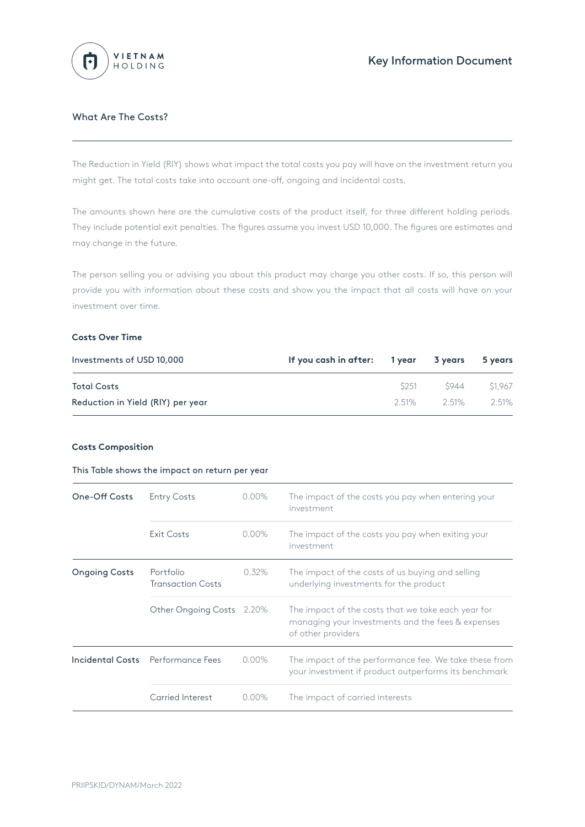

## What Are The Costs?

The Reduction in Yield (RIY) shows what impact the total costs you pay will have on the investment return you might get. The total costs take into account one-off, ongoing and incidental costs.

The amounts shown here are the cumulative costs of the product itself, for three different holding periods. They include potential exit penalties. The figures assume you invest USD 10,000. The figures are estimates and may change in the future.

The person selling you or advising you about this product may charge you other costs. If so, this person will provide you with information about these costs and show you the impact that all costs will have on your investment over time.

### **Costs Over Time**

| Investments of USD 10,000         | If you cash in after: 1 year 3 years |          |         | 5 years |
|-----------------------------------|--------------------------------------|----------|---------|---------|
| <b>Total Costs</b>                |                                      | S251     | S944    | \$1.967 |
| Reduction in Yield (RIY) per year |                                      | $2.51\%$ | $251\%$ | 2.51%   |

## **Costs Composition**

#### This Table shows the impact on return per year

| <b>One-Off Costs</b> | <b>Entry Costs</b>                    | $0.00\%$ | The impact of the costs you pay when entering your<br>investment                                                              |
|----------------------|---------------------------------------|----------|-------------------------------------------------------------------------------------------------------------------------------|
|                      | <b>Exit Costs</b>                     | $0.00\%$ | The impact of the costs you pay when exiting your<br>investment                                                               |
| <b>Ongoing Costs</b> | Portfolio<br><b>Transaction Costs</b> | 0.32%    | The impact of the costs of us buying and selling<br>underlying investments for the product                                    |
|                      | Other Ongoing Costs 2.20%             |          | The impact of the costs that we take each year for<br>managing your investments and the fees & expenses<br>of other providers |
|                      | Incidental Costs Performance Fees     | $0.00\%$ | The impact of the performance fee. We take these from<br>your investment if product outperforms its benchmark                 |
|                      | Carried Interest                      | $0.00\%$ | The impact of carried interests                                                                                               |